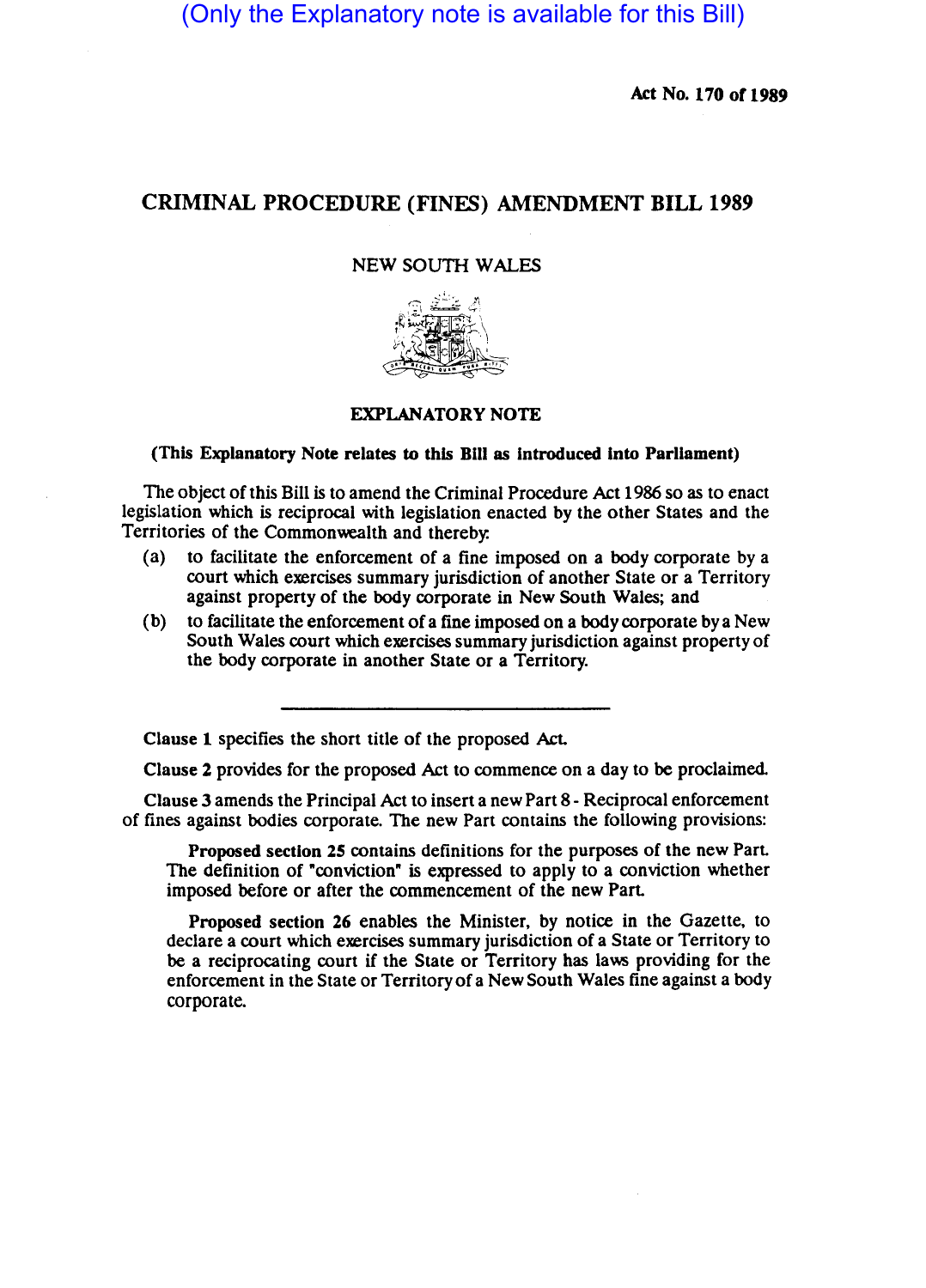(Only the Explanatory note is available for this Bill)

Act No. 170 of 1989

## CRIMINAL PROCEDURE (FINES) AMENDMENT BILL 1989

## NEW SOUTH WALES



## EXPLANATORY NOTE

## (This Explanatory Note relates to this Bill as Introduced Into Parliament)

The object of this Bill is to amend the Criminal Procedure Act 1986 so as to enact legislation which is reciprocal with legislation enacted by the other States and the Territories of the Commonwealth and thereby:

- (a) to facilitate the enforcement of a fine imposed on a body corporate by a court which exercises summary jurisdiction of another State or a Territory against property of the body corporate in New South Wales; and
- (b) to facilitate the enforcement ofa fine imposed on a body corporate bya New South Wales court which exercises summary jurisdiction against property of the body corporate in another State or a Territory.

Clause 1 specifies the short title of the proposed Act.

Clause 2 provides for the proposed Act to commence on a day to be proclaimed.

Clause 3 amends the Principal Act to insert a new Part 8 - Reciprocal enforcement of fines against bodies corporate. The new Part contains the following provisions:

Proposed section 25 contains definitions for the purposes of the new Part. The definition of "conviction" is expressed to apply to a conviction whether imposed before or after the commencement of the new Part.

Proposed section 26 enables the Minister, by notice in the Gazette, to declare a court which exercises summary jurisdiction of a State or Territory to be a reciprocating court if the State or Territory has laws providing for the enforcement in the State or Territory of a New South Wales fine against a body corporate.